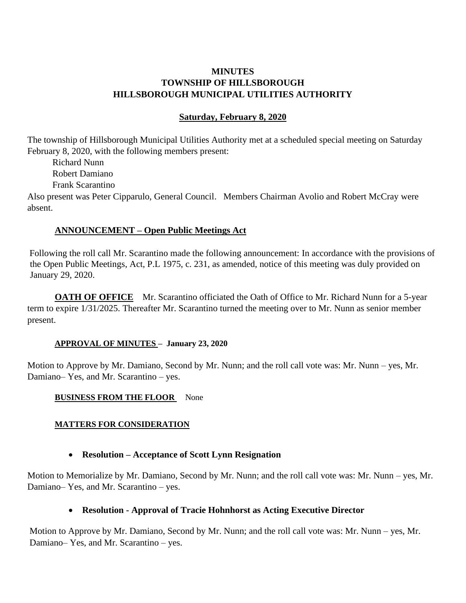## **MINUTES TOWNSHIP OF HILLSBOROUGH HILLSBOROUGH MUNICIPAL UTILITIES AUTHORITY**

## **Saturday, February 8, 2020**

The township of Hillsborough Municipal Utilities Authority met at a scheduled special meeting on Saturday February 8, 2020, with the following members present:

 Richard Nunn Robert Damiano Frank Scarantino

Also present was Peter Cipparulo, General Council. Members Chairman Avolio and Robert McCray were absent.

## **ANNOUNCEMENT – Open Public Meetings Act**

Following the roll call Mr. Scarantino made the following announcement: In accordance with the provisions of the Open Public Meetings, Act, P.L 1975, c. 231, as amended, notice of this meeting was duly provided on January 29, 2020.

**OATH OF OFFICE** Mr. Scarantino officiated the Oath of Office to Mr. Richard Nunn for a 5-year term to expire 1/31/2025. Thereafter Mr. Scarantino turned the meeting over to Mr. Nunn as senior member present.

## **APPROVAL OF MINUTES – January 23, 2020**

Motion to Approve by Mr. Damiano, Second by Mr. Nunn; and the roll call vote was: Mr. Nunn – yes, Mr. Damiano– Yes, and Mr. Scarantino – yes.

#### **BUSINESS FROM THE FLOOR** None

## **MATTERS FOR CONSIDERATION**

## • **Resolution – Acceptance of Scott Lynn Resignation**

Motion to Memorialize by Mr. Damiano, Second by Mr. Nunn; and the roll call vote was: Mr. Nunn – yes, Mr. Damiano– Yes, and Mr. Scarantino – yes.

## • **Resolution - Approval of Tracie Hohnhorst as Acting Executive Director**

Motion to Approve by Mr. Damiano, Second by Mr. Nunn; and the roll call vote was: Mr. Nunn – yes, Mr. Damiano– Yes, and Mr. Scarantino – yes.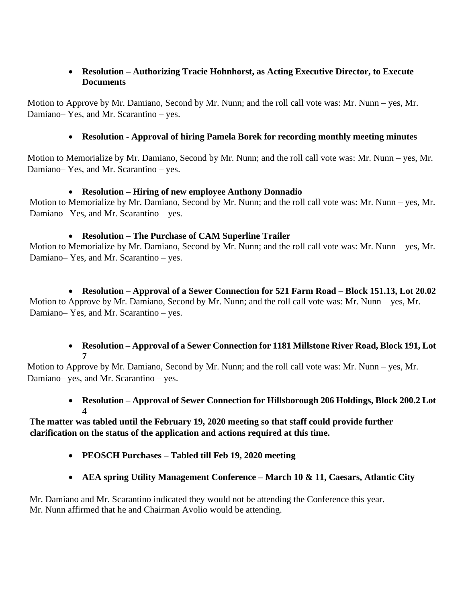## • **Resolution – Authorizing Tracie Hohnhorst, as Acting Executive Director, to Execute Documents**

Motion to Approve by Mr. Damiano, Second by Mr. Nunn; and the roll call vote was: Mr. Nunn – yes, Mr. Damiano– Yes, and Mr. Scarantino – yes.

# • **Resolution - Approval of hiring Pamela Borek for recording monthly meeting minutes**

Motion to Memorialize by Mr. Damiano, Second by Mr. Nunn; and the roll call vote was: Mr. Nunn – yes, Mr. Damiano– Yes, and Mr. Scarantino – yes.

# • **Resolution – Hiring of new employee Anthony Donnadio**

Motion to Memorialize by Mr. Damiano, Second by Mr. Nunn; and the roll call vote was: Mr. Nunn – yes, Mr. Damiano– Yes, and Mr. Scarantino – yes.

# • **Resolution – The Purchase of CAM Superline Trailer**

Motion to Memorialize by Mr. Damiano, Second by Mr. Nunn; and the roll call vote was: Mr. Nunn – yes, Mr. Damiano– Yes, and Mr. Scarantino – yes.

# • **Resolution – Approval of a Sewer Connection for 521 Farm Road – Block 151.13, Lot 20.02** Motion to Approve by Mr. Damiano, Second by Mr. Nunn; and the roll call vote was: Mr. Nunn – yes, Mr. Damiano– Yes, and Mr. Scarantino – yes.

# • **Resolution – Approval of a Sewer Connection for 1181 Millstone River Road, Block 191, Lot 7**

Motion to Approve by Mr. Damiano, Second by Mr. Nunn; and the roll call vote was: Mr. Nunn – yes, Mr. Damiano– yes, and Mr. Scarantino – yes.

# • **Resolution – Approval of Sewer Connection for Hillsborough 206 Holdings, Block 200.2 Lot 4**

## **The matter was tabled until the February 19, 2020 meeting so that staff could provide further clarification on the status of the application and actions required at this time.**

- **PEOSCH Purchases – Tabled till Feb 19, 2020 meeting**
- **AEA spring Utility Management Conference – March 10 & 11, Caesars, Atlantic City**

Mr. Damiano and Mr. Scarantino indicated they would not be attending the Conference this year. Mr. Nunn affirmed that he and Chairman Avolio would be attending.